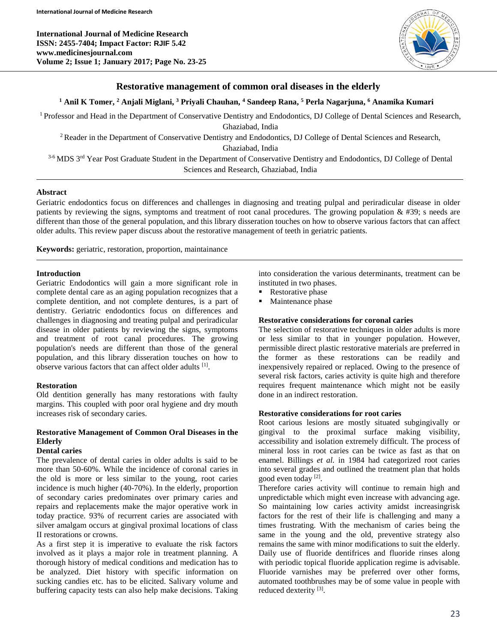**International Journal of Medicine Research ISSN: 2455-7404; Impact Factor: RJIF 5.42 www.medicinesjournal.com Volume 2; Issue 1; January 2017; Page No. 23-25**



## **Restorative management of common oral diseases in the elderly**

#### **<sup>1</sup> Anil K Tomer, <sup>2</sup> Anjali Miglani, <sup>3</sup> Priyali Chauhan, <sup>4</sup> Sandeep Rana, <sup>5</sup> Perla Nagarjuna, <sup>6</sup> Anamika Kumari**

<sup>1</sup> Professor and Head in the Department of Conservative Dentistry and Endodontics, DJ College of Dental Sciences and Research, Ghaziabad, India

<sup>2</sup> Reader in the Department of Conservative Dentistry and Endodontics, DJ College of Dental Sciences and Research,

Ghaziabad, India

3-6 MDS 3<sup>rd</sup> Year Post Graduate Student in the Department of Conservative Dentistry and Endodontics, DJ College of Dental Sciences and Research, Ghaziabad, India

#### **Abstract**

Geriatric endodontics focus on differences and challenges in diagnosing and treating pulpal and periradicular disease in older patients by reviewing the signs, symptoms and treatment of root canal procedures. The growing population  $\&$  #39; s needs are different than those of the general population, and this library disseration touches on how to observe various factors that can affect older adults. This review paper discuss about the restorative management of teeth in geriatric patients.

**Keywords:** geriatric, restoration, proportion, maintainance

## **Introduction**

Geriatric Endodontics will gain a more significant role in complete dental care as an aging population recognizes that a complete dentition, and not complete dentures, is a part of dentistry. Geriatric endodontics focus on differences and challenges in diagnosing and treating pulpal and periradicular disease in older patients by reviewing the signs, symptoms and treatment of root canal procedures. The growing population's needs are different than those of the general population, and this library disseration touches on how to observe various factors that can affect older adults [1].

#### **Restoration**

Old dentition generally has many restorations with faulty margins. This coupled with poor oral hygiene and dry mouth increases risk of secondary caries.

# **Restorative Management of Common Oral Diseases in the Elderly**

## **Dental caries**

The prevalence of dental caries in older adults is said to be more than 50-60%. While the incidence of coronal caries in the old is more or less similar to the young, root caries incidence is much higher (40-70%). In the elderly, proportion of secondary caries predominates over primary caries and repairs and replacements make the major operative work in today practice. 93% of recurrent caries are associated with silver amalgam occurs at gingival proximal locations of class II restorations or crowns.

As a first step it is imperative to evaluate the risk factors involved as it plays a major role in treatment planning. A thorough history of medical conditions and medication has to be analyzed. Diet history with specific information on sucking candies etc. has to be elicited. Salivary volume and buffering capacity tests can also help make decisions. Taking into consideration the various determinants, treatment can be instituted in two phases.

- **Restorative phase**
- Maintenance phase

#### **Restorative considerations for coronal caries**

The selection of restorative techniques in older adults is more or less similar to that in younger population. However, permissible direct plastic restorative materials are preferred in the former as these restorations can be readily and inexpensively repaired or replaced. Owing to the presence of several risk factors, caries activity is quite high and therefore requires frequent maintenance which might not be easily done in an indirect restoration.

## **Restorative considerations for root caries**

Root carious lesions are mostly situated subgingivally or gingival to the proximal surface making visibility, accessibility and isolation extremely difficult. The process of mineral loss in root caries can be twice as fast as that on enamel. Billings *et al.* in 1984 had categorized root caries into several grades and outlined the treatment plan that holds good even today<sup>[2]</sup>.

Therefore caries activity will continue to remain high and unpredictable which might even increase with advancing age. So maintaining low caries activity amidst increasingrisk factors for the rest of their life is challenging and many a times frustrating. With the mechanism of caries being the same in the young and the old, preventive strategy also remains the same with minor modifications to suit the elderly. Daily use of fluoride dentifrices and fluoride rinses along with periodic topical fluoride application regime is advisable. Fluoride varnishes may be preferred over other forms, automated toothbrushes may be of some value in people with reduced dexterity<sup>[3]</sup>.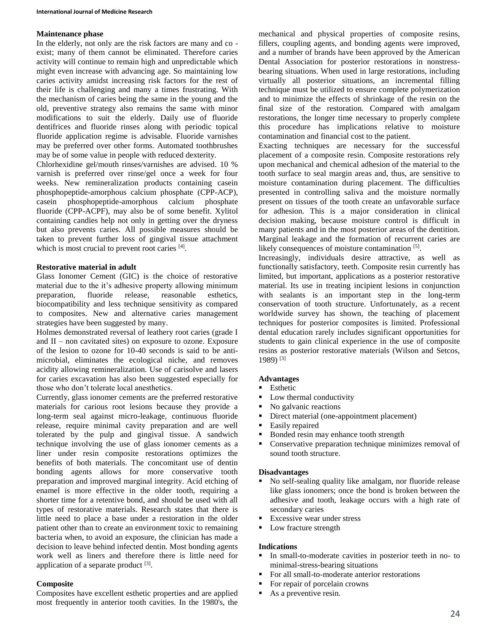## **Maintenance phase**

In the elderly, not only are the risk factors are many and co exist; many of them cannot be eliminated. Therefore caries activity will continue to remain high and unpredictable which might even increase with advancing age. So maintaining low caries activity amidst increasing risk factors for the rest of their life is challenging and many a times frustrating. With the mechanism of caries being the same in the young and the old, preventive strategy also remains the same with minor modifications to suit the elderly. Daily use of fluoride dentifrices and fluoride rinses along with periodic topical fluoride application regime is advisable. Fluoride varnishes may be preferred over other forms. Automated toothbrushes may be of some value in people with reduced dexterity.

Chlorhexidine gel/mouth rinses/varnishes are advised. 10 % varnish is preferred over rinse/gel once a week for four weeks. New remineralization products containing casein phosphopeptide-amorphous calcium phosphate (CPP-ACP), casein phosphopeptide-amorphous calcium phosphate fluoride (CPP-ACPF), may also be of some benefit. Xylitol containing candies help not only in getting over the dryness but also prevents caries. All possible measures should be taken to prevent further loss of gingival tissue attachment which is most crucial to prevent root caries [4].

## **Restorative material in adult**

Glass Ionomer Cement (GIC) is the choice of restorative material due to the it's adhesive property allowing minimum preparation, fluoride release, reasonable esthetics, biocompatibility and less technique sensitivity as compared to composites. New and alternative caries management strategies have been suggested by many.

Holmes demonstrated reversal of leathery root caries (grade I and  $II$  – non cavitated sites) on exposure to ozone. Exposure of the lesion to ozone for 10-40 seconds is said to be antimicrobial, eliminates the ecological niche, and removes acidity allowing remineralization. Use of carisolve and lasers for caries excavation has also been suggested especially for those who don't tolerate local anesthetics.

Currently, glass ionomer cements are the preferred restorative materials for carious root lesions because they provide a long-term seal against micro-leakage, continuous fluoride release, require minimal cavity preparation and are well tolerated by the pulp and gingival tissue. A sandwich technique involving the use of glass ionomer cements as a liner under resin composite restorations optimizes the benefits of both materials. The concomitant use of dentin bonding agents allows for more conservative tooth preparation and improved marginal integrity. Acid etching of enamel is more effective in the older tooth, requiring a shorter time for a retentive bond, and should be used with all types of restorative materials. Research states that there is little need to place a base under a restoration in the older patient other than to create an environment toxic to remaining bacteria when, to avoid an exposure, the clinician has made a decision to leave behind infected dentin. Most bonding agents work well as liners and therefore there is little need for application of a separate product [3].

## **Composite**

Composites have excellent esthetic properties and are applied most frequently in anterior tooth cavities. In the 1980's, the mechanical and physical properties of composite resins, fillers, coupling agents, and bonding agents were improved, and a number of brands have been approved by the American Dental Association for posterior restorations in nonstressbearing situations. When used in large restorations, including virtually all posterior situations, an incremental filling technique must be utilized to ensure complete polymerization and to minimize the effects of shrinkage of the resin on the final size of the restoration. Compared with amalgam restorations, the longer time necessary to properly complete this procedure has implications relative to moisture contamination and financial cost to the patient.

Exacting techniques are necessary for the successful placement of a composite resin. Composite restorations rely upon mechanical and chemical adhesion of the material to the tooth surface to seal margin areas and, thus, are sensitive to moisture contamination during placement. The difficulties presented in controlling saliva and the moisture normally present on tissues of the tooth create an unfavorable surface for adhesion. This is a major consideration in clinical decision making, because moisture control is difficult in many patients and in the most posterior areas of the dentition. Marginal leakage and the formation of recurrent caries are likely consequences of moisture contamination [5].

Increasingly, individuals desire attractive, as well as functionally satisfactory, teeth. Composite resin currently has limited, but important, applications as a posterior restorative material. Its use in treating incipient lesions in conjunction with sealants is an important step in the long-term conservation of tooth structure. Unfortunately, as a recent worldwide survey has shown, the teaching of placement techniques for posterior composites is limited. Professional dental education rarely includes significant opportunities for students to gain clinical experience in the use of composite resins as posterior restorative materials (Wilson and Setcos, 1989) [3]

## **Advantages**

## **Esthetic**

- Low thermal conductivity
- No galvanic reactions
- Direct material (one-appointment placement)
- **Easily repaired**
- Bonded resin may enhance tooth strength
- Conservative preparation technique minimizes removal of sound tooth structure.

#### **Disadvantages**

- No self-sealing quality like amalgam, nor fluoride release like glass ionomers; once the bond is broken between the adhesive and tooth, leakage occurs with a high rate of secondary caries
- Excessive wear under stress
- Low fracture strength

#### **Indications**

- In small-to-moderate cavities in posterior teeth in no- to minimal-stress-bearing situations
- For all small-to-moderate anterior restorations
- For repair of porcelain crowns
- As a preventive resin.